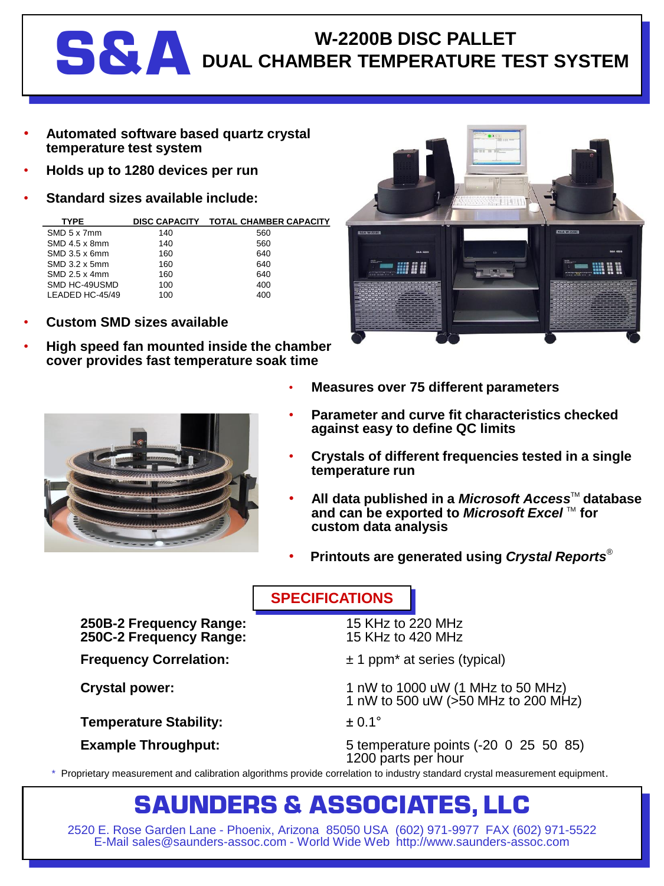## W-2200B DISC PALLET<br>DUAL CHAMBER TEMPERATURE TI **DUAL CHAMBER TEMPERATURE TEST SYSTEM**

- **Automated software based quartz crystal temperature test system**
- **Holds up to 1280 devices per run**
- **Standard sizes available include:**

| SMD 5 x 7mm       | 140 | 560 |
|-------------------|-----|-----|
| SMD 4.5 x 8mm     | 140 | 560 |
| $SMD$ 3.5 x 6mm   | 160 | 640 |
| $SMD$ 3.2 $x$ 5mm | 160 | 640 |
| SMD 2.5 x 4mm     | 160 | 640 |
| SMD HC-49USMD     | 100 | 400 |
| LEADED HC-45/49   | 100 | 400 |
|                   |     |     |

- **Custom SMD sizes available**
- **High speed fan mounted inside the chamber cover provides fast temperature soak time**





- **Measures over 75 different parameters**
- **Parameter and curve fit characteristics checked against easy to define QC limits**
- **Crystals of different frequencies tested in a single temperature run**
- **All data published in a** *Microsoft Access***<sup>™</sup> database** and can be exported to *Microsoft Excel* ™ for **custom data analysis**
- **Printouts are generated using** *Crystal Reports*®

**SPECIFICATIONS**

**250B-2 Frequency Range:** 15 KHz to 220 MHz **250C-2 Frequency Range:** 

**Temperature Stability:**  $\qquad 20.1^{\circ}$ 

- **Frequency Correlation:**  $\pm 1$  ppm<sup>\*</sup> at series (typical)
- **Crystal power:** 1 nW to 1000 uW (1 MHz to 50 MHz) 1 nW to 500 uW (>50 MHz to 200 MHz)

**Example Throughput:** 5 temperature points (-20 0 25 50 85) 1200 parts per hour

\* Proprietary measurement and calibration algorithms provide correlation to industry standard crystal measurement equipment.

## **SAUNDERS & ASSOCIATES, LLC**

2520 E. Rose Garden Lane - Phoenix, Arizona 85050 USA (602) 971-9977 FAX (602) 971-5522 E-Mail sales@saunders-assoc.com - World Wide Web http://www.saunders-assoc.com